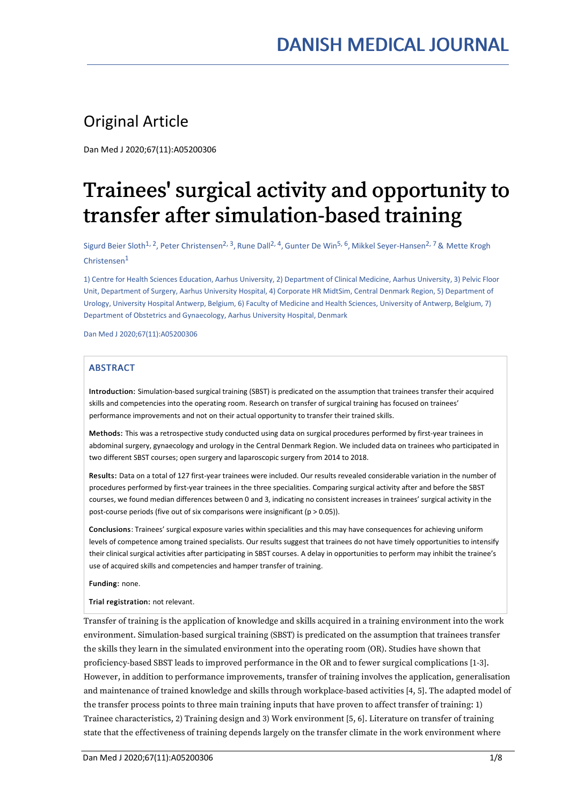## Original Article

Dan Med J 2020;67(11):A05200306

# Trainees' surgical activity and opportunity to transfer after simulation-based training

Sigurd Beier Sloth<sup>1, 2</sup>, Peter Christensen<sup>2, 3</sup>, Rune Dall<sup>2, 4</sup>, Gunter De Win<sup>5, 6</sup>, Mikkel Seyer-Hansen<sup>2, 7</sup> & Mette Krogh Christensen $^1$ 

1) Centre for Health Sciences Education, Aarhus University, 2) Department of Clinical Medicine, Aarhus University, 3) Pelvic Floor Unit, Department of Surgery, Aarhus University Hospital, 4) Corporate HR MidtSim, Central Denmark Region, 5) Department of Urology, University Hospital Antwerp, Belgium, 6) Faculty of Medicine and Health Sciences, University of Antwerp, Belgium, 7) Department of Obstetrics and Gynaecology, Aarhus University Hospital, Denmark

Dan Med J 2020;67(11):A05200306

#### ABSTRACT

Introduction: Simulation-based surgical training (SBST) is predicated on the assumption that trainees transfer their acquired skills and competencies into the operating room. Research on transfer of surgical training has focused on trainees' performance improvements and not on their actual opportunity to transfer their trained skills.

Methods: This was a retrospective study conducted using data on surgical procedures performed by first-year trainees in abdominal surgery, gynaecology and urology in the Central Denmark Region. We included data on trainees who participated in two different SBST courses; open surgery and laparoscopic surgery from 2014 to 2018.

Results: Data on a total of 127 first-year trainees were included. Our results revealed considerable variation in the number of procedures performed by first-year trainees in the three specialities. Comparing surgical activity after and before the SBST courses, we found median differences between 0 and 3, indicating no consistent increases in trainees' surgical activity in the post-course periods (five out of six comparisons were insignificant (p > 0.05)).

Conclusions: Trainees' surgical exposure varies within specialities and this may have consequences for achieving uniform levels of competence among trained specialists. Our results suggest that trainees do not have timely opportunities to intensify their clinical surgical activities after participating in SBST courses. A delay in opportunities to perform may inhibit the trainee's use of acquired skills and competencies and hamper transfer of training.

Funding: none.

Trial registration: not relevant.

Transfer of training is the application of knowledge and skills acquired in a training environment into the work environment. Simulation-based surgical training (SBST) is predicated on the assumption that trainees transfer the skills they learn in the simulated environment into the operating room (OR). Studies have shown that proficiency-based SBST leads to improved performance in the OR and to fewer surgical complications [1-3]. However, in addition to performance improvements, transfer of training involves the application, generalisation and maintenance of trained knowledge and skills through workplace-based activities [4, 5]. The adapted model of the transfer process points to three main training inputs that have proven to affect transfer of training: 1) Trainee characteristics, 2) Training design and 3)Work environment [5, 6]. Literature on transfer of training state that the effectiveness of training depends largely on the transfer climate in the work environment where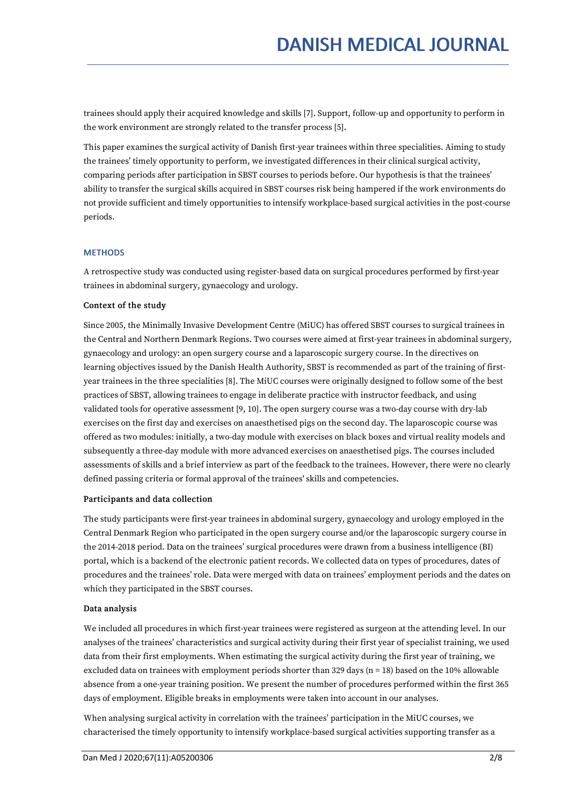trainees should apply their acquired knowledge and skills [7]. Support, follow-up and opportunity to perform in the work environment are strongly related to the transfer process [5].

This paper examines the surgical activity of Danish first-year trainees within three specialities. Aiming to study the trainees' timely opportunity to perform, we investigated differences in their clinical surgical activity, comparing periods after participation in SBST courses to periods before. Our hypothesis is that the trainees' ability to transfer the surgical skills acquired in SBST courses risk being hampered if the work environments do not provide sufficient and timely opportunities to intensify workplace-based surgical activities in the post-course periods.

#### **METHODS**

A retrospective study was conducted using register-based data on surgical procedures performed by first-year trainees in abdominal surgery, gynaecology and urology.

#### Context of the study

Since 2005, the Minimally Invasive Development Centre (MiUC) has offered SBST courses to surgical trainees in the Central and Northern Denmark Regions. Two courses were aimed at first-year trainees in abdominal surgery, gynaecology and urology: an open surgery course and a laparoscopic surgery course. In the directives on learning objectives issued by the Danish Health Authority, SBST is recommended as part of the training of first year trainees in the three specialities [8]. The MiUC courses were originally designed to follow some of the best practices of SBST, allowing trainees to engage in deliberate practice with instructor feedback, and using validated tools for operative assessment [9, 10]. The open surgery course was a two-day course with dry-lab exercises on the first day and exercises on anaesthetised pigs on the second day. The laparoscopic course was offered as two modules: initially, a two-day module with exercises on black boxes and virtual reality models and subsequently a three-day module with more advanced exercises on anaesthetised pigs. The courses included assessments of skills and a brief interview as part of the feedback to the trainees. However, there were no clearly defined passing criteria or formal approval of the trainees' skills and competencies.

#### Participants and data collection

The study participants were first-year trainees in abdominal surgery, gynaecology and urology employed in the Central Denmark Region who participated in the open surgery course and/or the laparoscopic surgery course in the 2014-2018 period. Data on the trainees' surgical procedures were drawn from a business intelligence (BI) portal, which is a backend of the electronic patient records. We collected data on types of procedures, dates of procedures and the trainees' role. Data were merged with data on trainees' employment periods and the dates on which they participated in the SBST courses.

#### Data analysis

We included all procedures in which first-year trainees were registered as surgeon at the attending level. In our analyses of the trainees' characteristics and surgical activity during their first year of specialist training, we used data from their first employments. When estimating the surgical activity during the first year of training, we excluded data on trainees with employment periods shorter than 329 days ( $n = 18$ ) based on the 10% allowable absence from a one-year training position. We present the number of procedures performed within the first 365 days of employment. Eligible breaks in employments were taken into account in our analyses.

When analysing surgical activity in correlation with the trainees' participation in the MiUC courses, we characterised the timely opportunity to intensify workplace-based surgical activities supporting transfer as a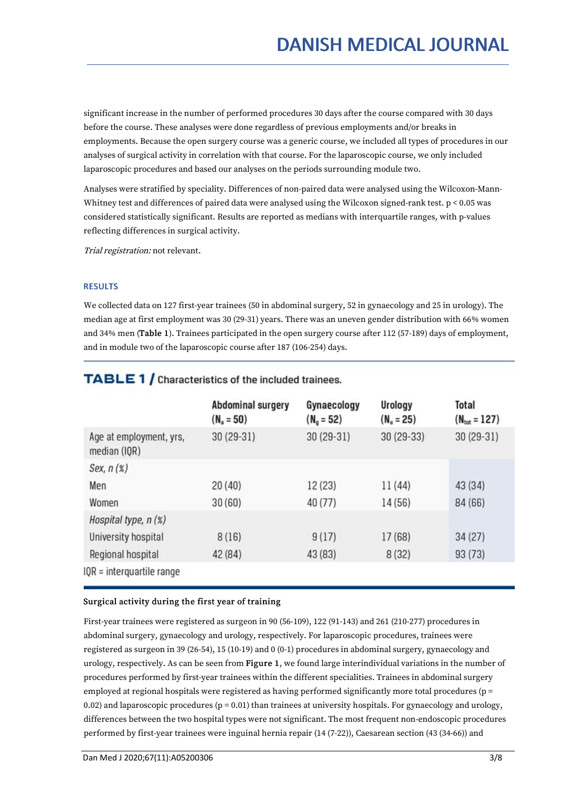significant increase in the number of performed procedures 30 days after the course compared with 30 days before the course. These analyses were done regardless of previous employments and/or breaks in employments. Because the open surgery course was a generic course, we included all types of procedures in our analyses of surgical activity in correlation with that course. For the laparoscopic course, we only included laparoscopic procedures and based our analyses on the periods surrounding module two.

Analyses were stratified by speciality. Differences of non-paired data were analysed using the Wilcoxon-Mann- Whitney test and differences of paired data were analysed using the Wilcoxon signed-rank test. p < 0.05 was considered statistically significant. Results are reported as medians with interquartile ranges, with p-values reflecting differences in surgical activity.

Trial registration: not relevant.

#### **RESULTS**

We collected data on 127 first-year trainees (50 in abdominal surgery, 52 in gynaecology and 25 in urology). The median age at first employment was 30 (29-31) years. There was an uneven gender distribution with 66% women and 34% men (Table 1). Trainees participated in the open surgery course after 112 (57-189) days of employment, and in module two of the laparoscopic course after 187 (106-254) days.

|                                         | <b>Abdominal surgery</b><br>$(N_a = 50)$ | Gynaecology<br>$(N_q = 52)$ | Urology<br>$(N_u = 25)$ | Total<br>$(N_{\text{tot}} = 127)$ |
|-----------------------------------------|------------------------------------------|-----------------------------|-------------------------|-----------------------------------|
| Age at employment, yrs,<br>median (IQR) | 30 (29-31)                               | $30(29-31)$                 | $30(29-33)$             | $30(29-31)$                       |
| Sex, $n(x)$                             |                                          |                             |                         |                                   |
| Men                                     | 20(40)                                   | 12(23)                      | 11(44)                  | 43 (34)                           |
| Women                                   | 30(60)                                   | 40(77)                      | 14 (56)                 | 84 (66)                           |
| Hospital type, n (%)                    |                                          |                             |                         |                                   |
| University hospital                     | 8(16)                                    | 9(17)                       | 17(68)                  | 34(27)                            |
| Regional hospital                       | 42 (84)                                  | 43 (83)                     | 8(32)                   | 93(73)                            |
| $IQR = interquartile range$             |                                          |                             |                         |                                   |

### **TABLE 1 / Characteristics of the included trainees.**

#### Surgical activity during the first year of training

First-year trainees were registered as surgeon in 90 (56-109), 122 (91-143) and 261 (210-277) procedures in abdominal surgery, gynaecology and urology, respectively. For laparoscopic procedures, trainees were registered as surgeon in 39 (26-54), 15 (10-19) and 0 (0-1) procedures in abdominal surgery, gynaecology and urology, respectively. As can be seen from Figure 1, we found large interindividual variations in the number of procedures performed by first-year trainees within the different specialities. Trainees in abdominal surgery employed at regional hospitals were registered as having performed significantly more total procedures (p = 0.02) and laparoscopic procedures  $(p = 0.01)$  than trainees at university hospitals. For gynaecology and urology, differences between the two hospital types were not significant. The most frequent non-endoscopic procedures performed by first-year trainees were inguinal hernia repair (14 (7-22)), Caesarean section (43 (34-66)) and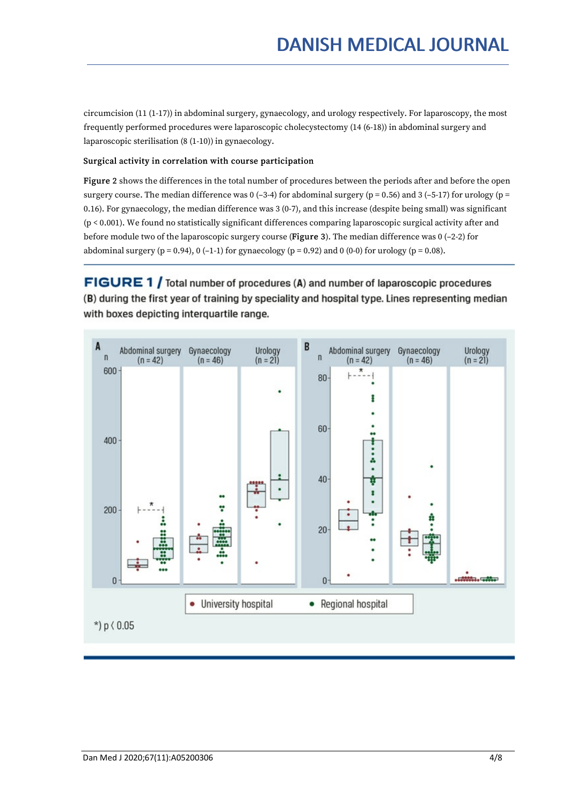circumcision (11 (1-17)) in abdominal surgery, gynaecology, and urology respectively. For laparoscopy, the most frequently performed procedures were laparoscopic cholecystectomy (14 (6-18)) in abdominal surgery and laparoscopic sterilisation (8 (1-10)) in gynaecology.

#### Surgical activity in correlation with course participation

Figure 2 shows the differences in the total number of procedures between the periods after and before the open surgery course. The median difference was  $0$  (-3-4) for abdominal surgery ( $p = 0.56$ ) and 3 (-5-17) for urology ( $p = 0.56$ ) 0.16). For gynaecology, the median difference was 3 (0-7), and this increase (despite being small) was significant (p < 0.001). We found no statistically significant differences comparing laparoscopic surgical activity after and before module two of the laparoscopic surgery course (Figure 3). The median difference was 0 (–2-2) for abdominal surgery (p = 0.94), 0 (-1-1) for gynaecology (p = 0.92) and 0 (0-0) for urology (p = 0.08).

FIGURE 1 / Total number of procedures (A) and number of laparoscopic procedures (B) during the first year of training by speciality and hospital type. Lines representing median with boxes depicting interguartile range.

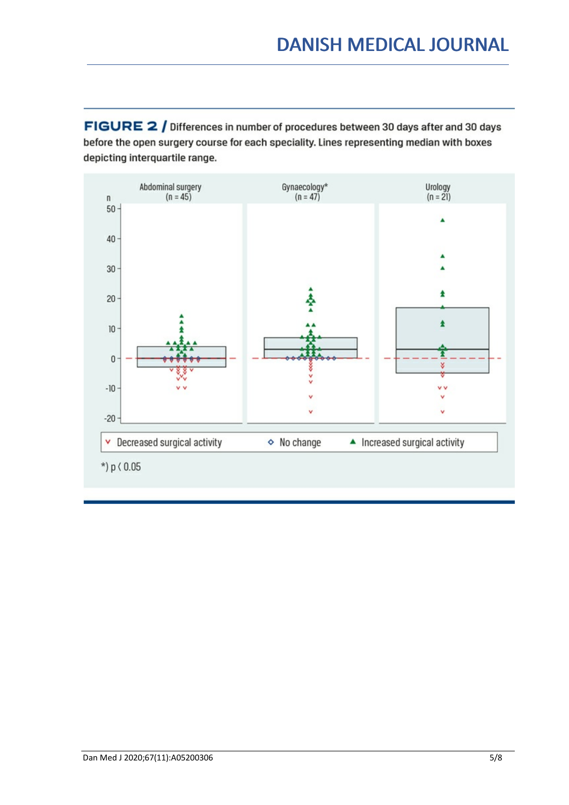FIGURE 2 / Differences in number of procedures between 30 days after and 30 days before the open surgery course for each speciality. Lines representing median with boxes depicting interquartile range.

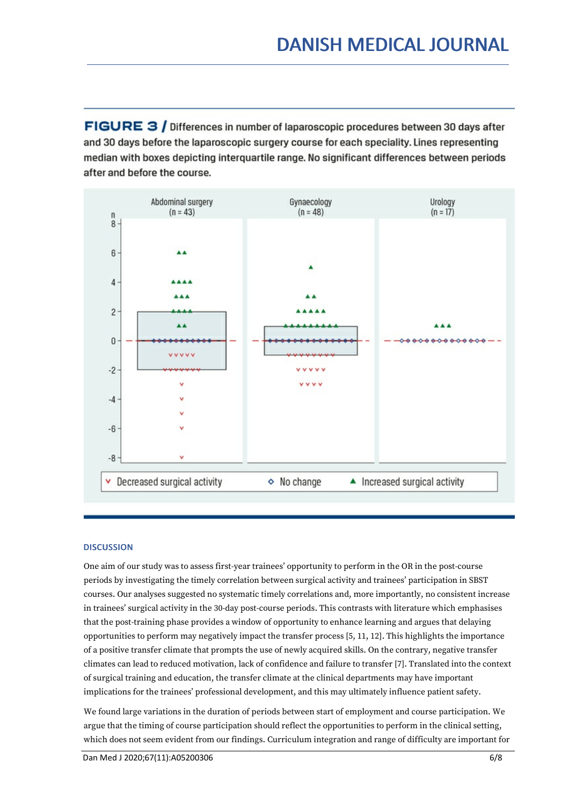FIGURE 3 / Differences in number of laparoscopic procedures between 30 days after and 30 days before the laparoscopic surgery course for each speciality. Lines representing median with boxes depicting interguartile range. No significant differences between periods after and before the course.



#### **DISCUSSION**

One aim of our study was to assess first-year trainees' opportunity to perform in the OR in the post-course periods by investigating the timely correlation between surgical activity and trainees' participation in SBST courses. Our analyses suggested no systematic timely correlations and, more importantly, no consistent increase in trainees' surgical activity in the 30-day post-course periods. This contrasts with literature which emphasises that the post-training phase provides a window of opportunity to enhance learning and argues that delaying opportunities to perform may negatively impact the transfer process [5, 11, 12]. This highlights the importance of a positive transfer climate that prompts the use of newly acquired skills. On the contrary, negative transfer climates can lead to reduced motivation, lack of confidence and failure to transfer [7]. Translated into the context of surgical training and education, the transfer climate at the clinical departments may have important implications for the trainees' professional development, and this may ultimately influence patient safety.

We found large variations in the duration of periods between start of employment and course participation. We argue that the timing of course participation should reflect the opportunities to perform in the clinical setting, which does not seem evident from our findings. Curriculum integration and range of difficulty are important for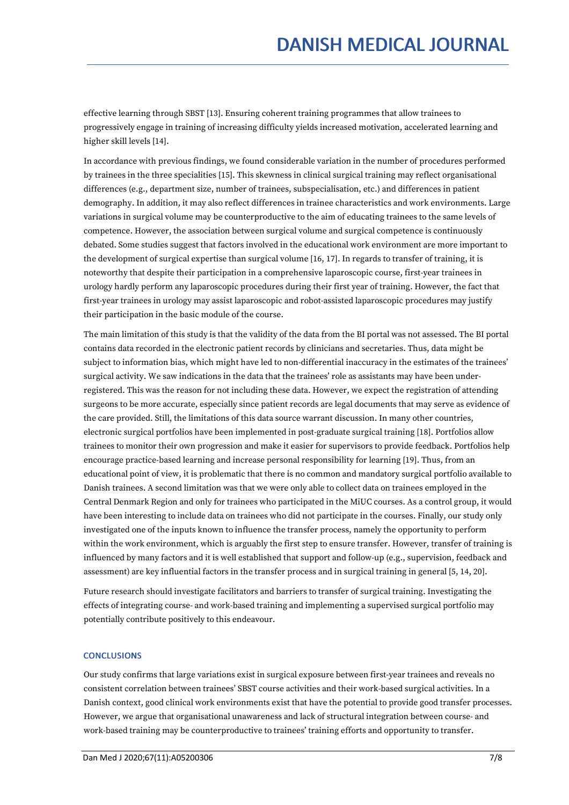effective learning through SBST [13]. Ensuring coherent training programmes that allow trainees to progressively engage in training of increasing difficulty yields increased motivation, accelerated learning and higher skill levels [14].

In accordance with previous findings, we found considerable variation in the number of procedures performed by trainees in the three specialities [15]. This skewness in clinical surgical training may reflect organisational differences (e.g., department size, number of trainees, subspecialisation, etc.) and differences in patient demography. In addition, it may also reflect differences in trainee characteristics and work environments. Large variations in surgical volume may be counterproductive to the aim of educating trainees to the same levels of competence. However, the association between surgical volume and surgical competence is continuously debated. Some studies suggest that factors involved in the educational work environment are more important to the development of surgical expertise than surgical volume [16, 17]. In regards to transfer of training, it is noteworthy that despite their participation in a comprehensive laparoscopic course, first-year trainees in urology hardly perform anylaparoscopic procedures during their first year of training. However, the fact that first-year trainees in urology may assist laparoscopic and robot-assisted laparoscopic procedures may justify their participation in the basic module of the course.

The main limitation of this study is that the validity of the data from the BI portal was not assessed. The BI portal contains data recorded in the electronic patient records by clinicians and secretaries. Thus, data might be subject to information bias, which might have led to non-differential inaccuracy in the estimates of the trainees' surgical activity. We saw indications in the data that the trainees' role as assistants may have been under registered. This was the reason for not including these data. However, we expect the registration of attending surgeons to be more accurate, especially since patient records are legal documents that may serve as evidence of the care provided. Still, the limitations of this data source warrant discussion. In many other countries, electronic surgical portfolios have been implemented in post-graduate surgical training [18]. Portfolios allow trainees to monitor their own progression and make it easier for supervisors to provide feedback. Portfolios help encourage practice-based learning and increase personal responsibility for learning [19]. Thus, from an educational point of view, it is problematic that there is no common and mandatory surgical portfolio available to Danish trainees. A second limitation was that we were only able to collect data on trainees employed in the Central Denmark Region and only for trainees who participated in the MiUC courses. As a control group, it would have been interesting to include data on trainees who did not participate in the courses. Finally, our study only investigated one of the inputs known to influence the transfer process, namely the opportunity to perform within the work environment, which is arguably the first step to ensure transfer. However, transfer of training is influenced by many factors and it is well established that support and follow-up (e.g., supervision, feedback and assessment) are key influential factors in the transfer process and in surgical training in general [5, 14, 20].

Future research should investigate facilitators and barriers to transfer of surgical training. Investigating the effects of integrating course- and work-based training and implementing a supervised surgical portfolio may potentially contribute positively to this endeavour.

#### **CONCLUSIONS**

Our study confirms that large variations exist in surgical exposure between first-year trainees and reveals no consistent correlation between trainees' SBST course activities and their work-based surgical activities. In a Danish context, good clinical work environments exist that have the potential to provide good transfer processes. However, we argue that organisational unawareness and lack of structural integration between course- and work-based training may be counterproductive to trainees' training efforts and opportunity to transfer.